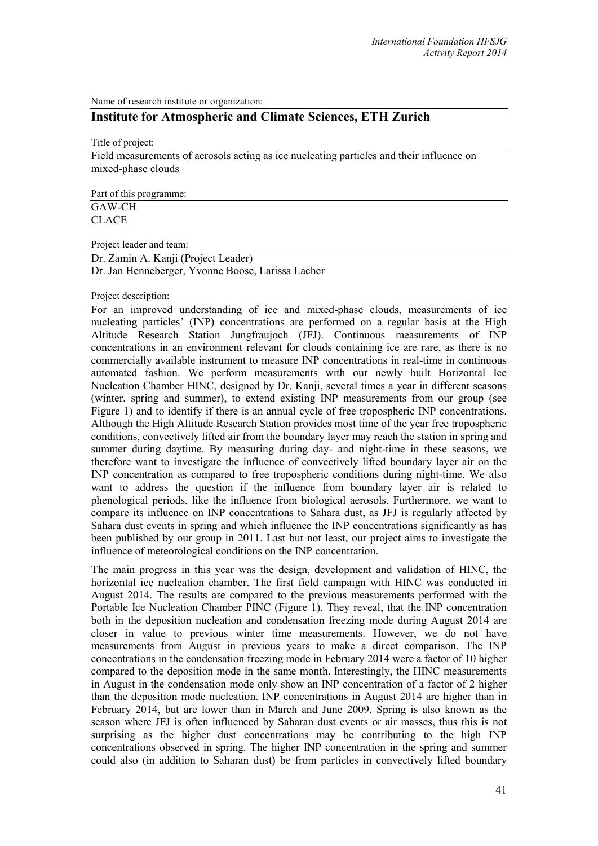Name of research institute or organization:

# **Institute for Atmospheric and Climate Sciences, ETH Zurich**

Title of project:

Field measurements of aerosols acting as ice nucleating particles and their influence on mixed-phase clouds

Part of this programme: GAW-CH CLACE

Project leader and team:

Dr. Zamin A. Kanji (Project Leader) Dr. Jan Henneberger, Yvonne Boose, Larissa Lacher

#### Project description:

For an improved understanding of ice and mixed-phase clouds, measurements of ice nucleating particles' (INP) concentrations are performed on a regular basis at the High Altitude Research Station Jungfraujoch (JFJ). Continuous measurements of INP concentrations in an environment relevant for clouds containing ice are rare, as there is no commercially available instrument to measure INP concentrations in real-time in continuous automated fashion. We perform measurements with our newly built Horizontal Ice Nucleation Chamber HINC, designed by Dr. Kanji, several times a year in different seasons (winter, spring and summer), to extend existing INP measurements from our group (see Figure 1) and to identify if there is an annual cycle of free tropospheric INP concentrations. Although the High Altitude Research Station provides most time of the year free tropospheric conditions, convectively lifted air from the boundary layer may reach the station in spring and summer during daytime. By measuring during day- and night-time in these seasons, we therefore want to investigate the influence of convectively lifted boundary layer air on the INP concentration as compared to free tropospheric conditions during night-time. We also want to address the question if the influence from boundary layer air is related to phenological periods, like the influence from biological aerosols. Furthermore, we want to compare its influence on INP concentrations to Sahara dust, as JFJ is regularly affected by Sahara dust events in spring and which influence the INP concentrations significantly as has been published by our group in 2011. Last but not least, our project aims to investigate the influence of meteorological conditions on the INP concentration.

The main progress in this year was the design, development and validation of HINC, the horizontal ice nucleation chamber. The first field campaign with HINC was conducted in August 2014. The results are compared to the previous measurements performed with the Portable Ice Nucleation Chamber PINC (Figure 1). They reveal, that the INP concentration both in the deposition nucleation and condensation freezing mode during August 2014 are closer in value to previous winter time measurements. However, we do not have measurements from August in previous years to make a direct comparison. The INP concentrations in the condensation freezing mode in February 2014 were a factor of 10 higher compared to the deposition mode in the same month. Interestingly, the HINC measurements in August in the condensation mode only show an INP concentration of a factor of 2 higher than the deposition mode nucleation. INP concentrations in August 2014 are higher than in February 2014, but are lower than in March and June 2009. Spring is also known as the season where JFJ is often influenced by Saharan dust events or air masses, thus this is not surprising as the higher dust concentrations may be contributing to the high INP concentrations observed in spring. The higher INP concentration in the spring and summer could also (in addition to Saharan dust) be from particles in convectively lifted boundary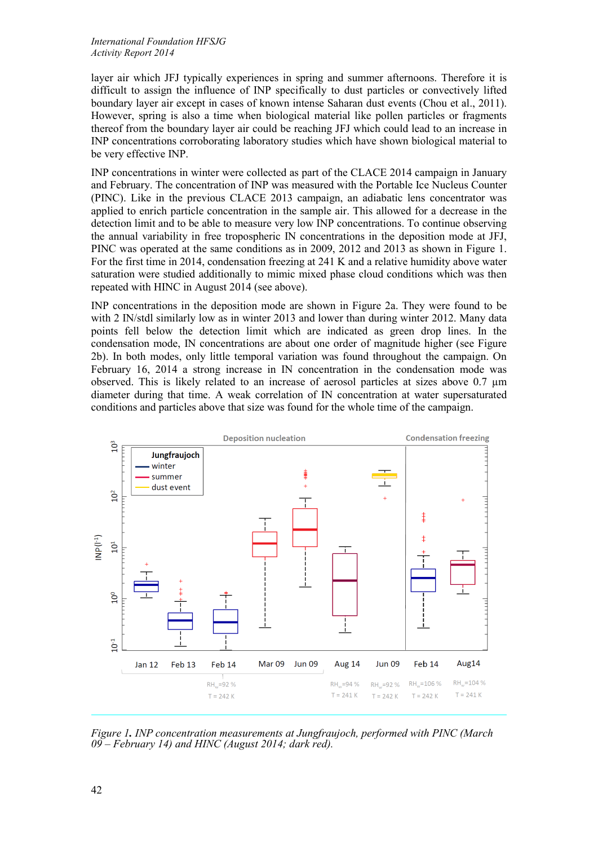#### *International Foundation HFSJG Activity Report 2014*

layer air which JFJ typically experiences in spring and summer afternoons. Therefore it is difficult to assign the influence of INP specifically to dust particles or convectively lifted boundary layer air except in cases of known intense Saharan dust events (Chou et al., 2011). However, spring is also a time when biological material like pollen particles or fragments thereof from the boundary layer air could be reaching JFJ which could lead to an increase in INP concentrations corroborating laboratory studies which have shown biological material to be very effective INP.

INP concentrations in winter were collected as part of the CLACE 2014 campaign in January and February. The concentration of INP was measured with the Portable Ice Nucleus Counter (PINC). Like in the previous CLACE 2013 campaign, an adiabatic lens concentrator was applied to enrich particle concentration in the sample air. This allowed for a decrease in the detection limit and to be able to measure very low INP concentrations. To continue observing the annual variability in free tropospheric IN concentrations in the deposition mode at JFJ, PINC was operated at the same conditions as in 2009, 2012 and 2013 as shown in Figure 1. For the first time in 2014, condensation freezing at 241 K and a relative humidity above water saturation were studied additionally to mimic mixed phase cloud conditions which was then repeated with HINC in August 2014 (see above).

INP concentrations in the deposition mode are shown in Figure 2a. They were found to be with 2 IN/stdl similarly low as in winter 2013 and lower than during winter 2012. Many data points fell below the detection limit which are indicated as green drop lines. In the condensation mode, IN concentrations are about one order of magnitude higher (see Figure 2b). In both modes, only little temporal variation was found throughout the campaign. On February 16, 2014 a strong increase in IN concentration in the condensation mode was observed. This is likely related to an increase of aerosol particles at sizes above 0.7 µm diameter during that time. A weak correlation of IN concentration at water supersaturated conditions and particles above that size was found for the whole time of the campaign.



*Figure 1. INP concentration measurements at Jungfraujoch, performed with PINC (March 09 – February 14) and HINC (August 2014; dark red).*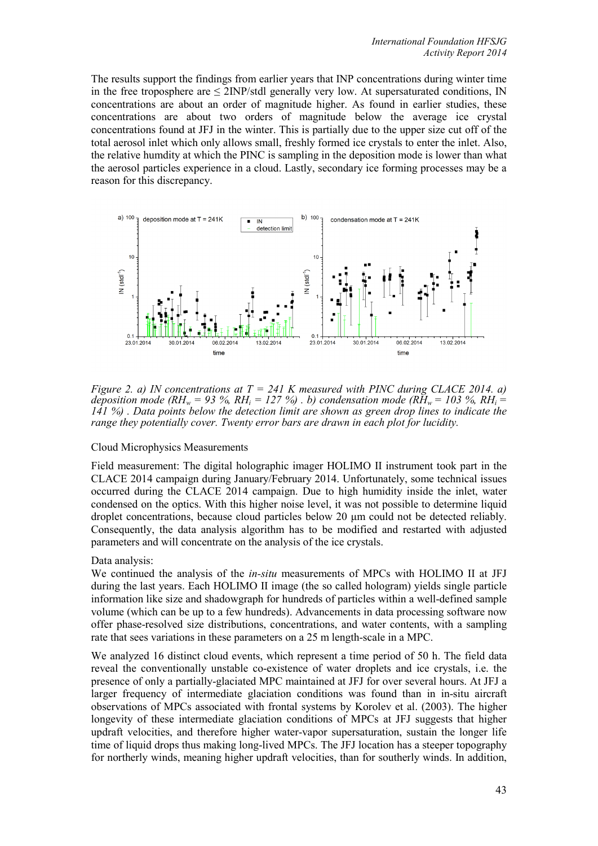The results support the findings from earlier years that INP concentrations during winter time in the free troposphere are  $\leq$  2INP/stdl generally very low. At supersaturated conditions, IN concentrations are about an order of magnitude higher. As found in earlier studies, these concentrations are about two orders of magnitude below the average ice crystal concentrations found at JFJ in the winter. This is partially due to the upper size cut off of the total aerosol inlet which only allows small, freshly formed ice crystals to enter the inlet. Also, the relative humdity at which the PINC is sampling in the deposition mode is lower than what the aerosol particles experience in a cloud. Lastly, secondary ice forming processes may be a reason for this discrepancy.



*Figure 2. a) IN concentrations at T = 241 K measured with PINC during CLACE 2014. a) deposition mode (RH<sub>w</sub> = 93 %, RH<sub>i</sub> = 127 %) . b) condensation mode (RH<sub>w</sub> = 103 %, RH<sub>i</sub> = 141 %) . Data points below the detection limit are shown as green drop lines to indicate the range they potentially cover. Twenty error bars are drawn in each plot for lucidity.*

# Cloud Microphysics Measurements

Field measurement: The digital holographic imager HOLIMO II instrument took part in the CLACE 2014 campaign during January/February 2014. Unfortunately, some technical issues occurred during the CLACE 2014 campaign. Due to high humidity inside the inlet, water condensed on the optics. With this higher noise level, it was not possible to determine liquid droplet concentrations, because cloud particles below 20 μm could not be detected reliably. Consequently, the data analysis algorithm has to be modified and restarted with adjusted parameters and will concentrate on the analysis of the ice crystals.

# Data analysis:

We continued the analysis of the *in-situ* measurements of MPCs with HOLIMO II at JFJ during the last years. Each HOLIMO II image (the so called hologram) yields single particle information like size and shadowgraph for hundreds of particles within a well-defined sample volume (which can be up to a few hundreds). Advancements in data processing software now offer phase-resolved size distributions, concentrations, and water contents, with a sampling rate that sees variations in these parameters on a 25 m length-scale in a MPC.

We analyzed 16 distinct cloud events, which represent a time period of 50 h. The field data reveal the conventionally unstable co-existence of water droplets and ice crystals, i.e. the presence of only a partially-glaciated MPC maintained at JFJ for over several hours. At JFJ a larger frequency of intermediate glaciation conditions was found than in in-situ aircraft observations of MPCs associated with frontal systems by Korolev et al. (2003). The higher longevity of these intermediate glaciation conditions of MPCs at JFJ suggests that higher updraft velocities, and therefore higher water-vapor supersaturation, sustain the longer life time of liquid drops thus making long-lived MPCs. The JFJ location has a steeper topography for northerly winds, meaning higher updraft velocities, than for southerly winds. In addition,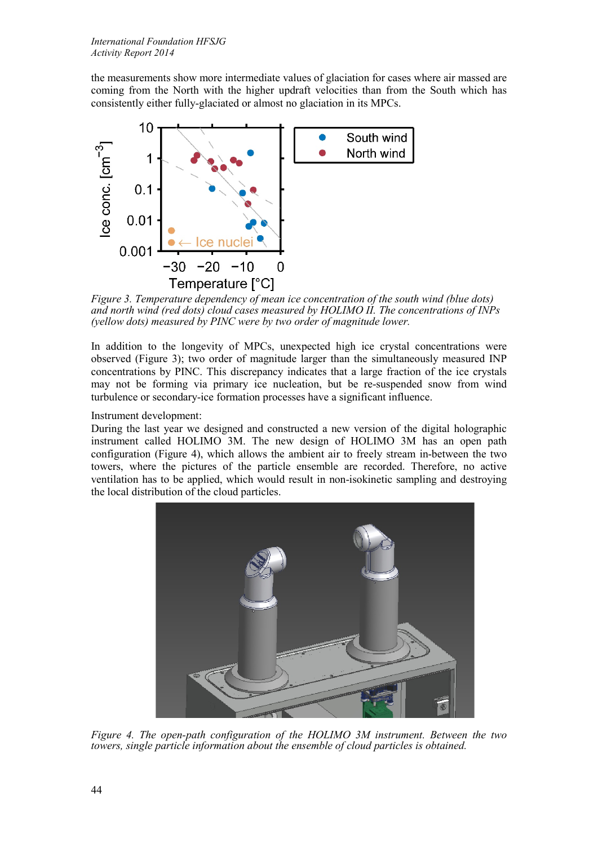the measurements show more intermediate values of glaciation for cases where air massed are coming from the North with the higher updraft velocities than from the South which has consistently either fully-glaciated or almost no glaciation in its MPCs.



<span id="page-3-0"></span>*Figure 3. Temperature dependency of mean ice concentration of the south wind (blue dots) and north wind (red dots) cloud cases measured by HOLIMO II. The concentrations of INPs (yellow dots) measured by PINC were by two order of magnitude lower.*

In addition to the longevity of MPCs, unexpected high ice crystal concentrations were observed [\(Figure 3](#page-3-0)); two order of magnitude larger than the simultaneously measured INP concentrations by PINC. This discrepancy indicates that a large fraction of the ice crystals may not be forming via primary ice nucleation, but be re-suspended snow from wind turbulence or secondary-ice formation processes have a significant influence.

Instrument development:

During the last year we designed and constructed a new version of the digital holographic instrument called HOLIMO 3M. The new design of HOLIMO 3M has an open path configuration [\(Figure 4](#page-3-1)), which allows the ambient air to freely stream in-between the two towers, where the pictures of the particle ensemble are recorded. Therefore, no active ventilation has to be applied, which would result in non-isokinetic sampling and destroying the local distribution of the cloud particles.

<span id="page-3-1"></span>

*Figure 4. The open-path configuration of the HOLIMO 3M instrument. Between the two towers, single particle information about the ensemble of cloud particles is obtained.*